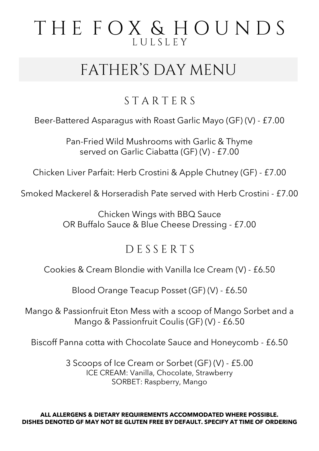## THE FOX & HOUNDS LULSLEY

# FATHER'S DAY MENU

### STARTERS

Beer-Battered Asparagus with Roast Garlic Mayo (GF) (V) - £7.00

Pan-Fried Wild Mushrooms with Garlic & Thyme served on Garlic Ciabatta (GF) (V) - £7.00

Chicken Liver Parfait: Herb Crostini & Apple Chutney (GF) - £7.00

Smoked Mackerel & Horseradish Pate served with Herb Crostini - £7.00

Chicken Wings with BBQ Sauce OR Buffalo Sauce & Blue Cheese Dressing - £7.00

#### DESSERTS

Cookies & Cream Blondie with Vanilla Ice Cream (V) - £6.50

Blood Orange Teacup Posset (GF) (V) - £6.50

Mango & Passionfruit Eton Mess with a scoop of Mango Sorbet and a Mango & Passionfruit Coulis (GF) (V) - £6.50

Biscoff Panna cotta with Chocolate Sauce and Honeycomb - £6.50

3 Scoops of Ice Cream or Sorbet (GF) (V) - £5.00 ICE CREAM: Vanilla, Chocolate, Strawberry SORBET: Raspberry, Mango

**ALL ALLERGENS & DIETARY REQUIREMENTS ACCOMMODATED WHERE POSSIBLE. DISHES DENOTED GF MAY NOT BE GLUTEN FREE BY DEFAULT. SPECIFY AT TIME OF ORDERING**